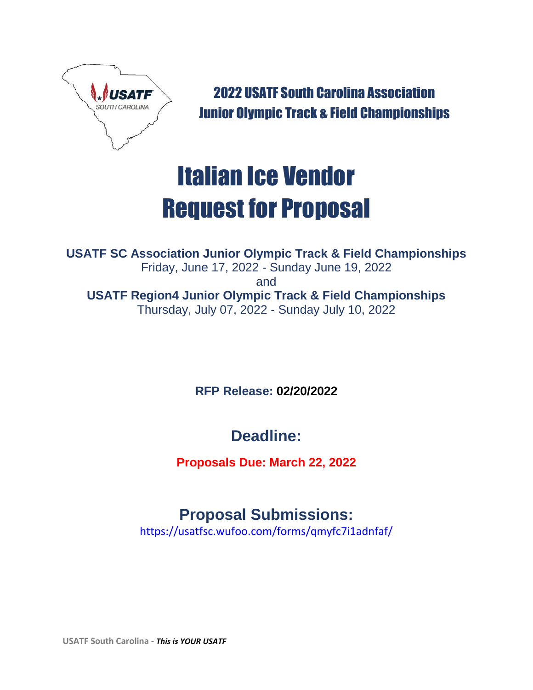

2022 USATF South Carolina Association Junior Olympic Track & Field Championships

# Italian Ice Vendor Request for Proposal

**USATF SC Association Junior Olympic Track & Field Championships** Friday, June 17, 2022 - Sunday June 19, 2022 and **USATF Region4 Junior Olympic Track & Field Championships** Thursday, July 07, 2022 - Sunday July 10, 2022

**RFP Release: 02/20/2022**

**Deadline:**

**Proposals Due: March 22, 2022**

# **Proposal Submissions:**

<https://usatfsc.wufoo.com/forms/qmyfc7i1adnfaf/>

**USATF South Carolina -** *This is YOUR USATF*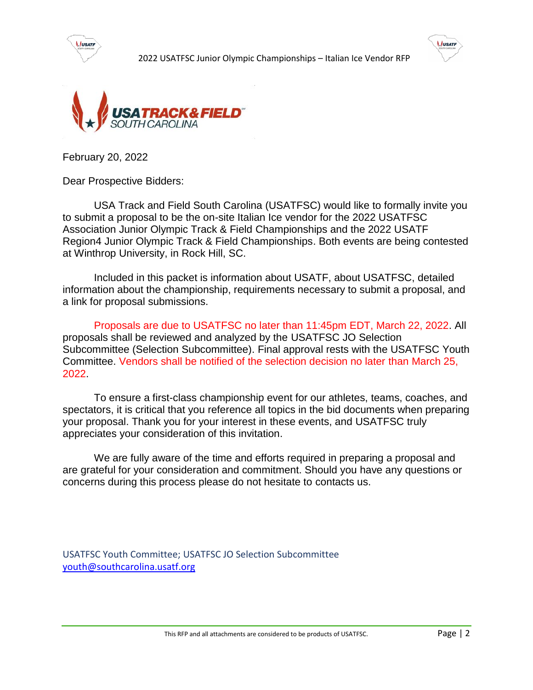





February 20, 2022

Dear Prospective Bidders:

USA Track and Field South Carolina (USATFSC) would like to formally invite you to submit a proposal to be the on-site Italian Ice vendor for the 2022 USATFSC Association Junior Olympic Track & Field Championships and the 2022 USATF Region4 Junior Olympic Track & Field Championships. Both events are being contested at Winthrop University, in Rock Hill, SC.

Included in this packet is information about USATF, about USATFSC, detailed information about the championship, requirements necessary to submit a proposal, and a link for proposal submissions.

Proposals are due to USATFSC no later than 11:45pm EDT, March 22, 2022. All proposals shall be reviewed and analyzed by the USATFSC JO Selection Subcommittee (Selection Subcommittee). Final approval rests with the USATFSC Youth Committee. Vendors shall be notified of the selection decision no later than March 25, 2022.

To ensure a first-class championship event for our athletes, teams, coaches, and spectators, it is critical that you reference all topics in the bid documents when preparing your proposal. Thank you for your interest in these events, and USATFSC truly appreciates your consideration of this invitation.

We are fully aware of the time and efforts required in preparing a proposal and are grateful for your consideration and commitment. Should you have any questions or concerns during this process please do not hesitate to contacts us.

USATFSC Youth Committee; USATFSC JO Selection Subcommittee [youth@southcarolina.usatf.org](mailto:youth@southcarolina.usatf.org)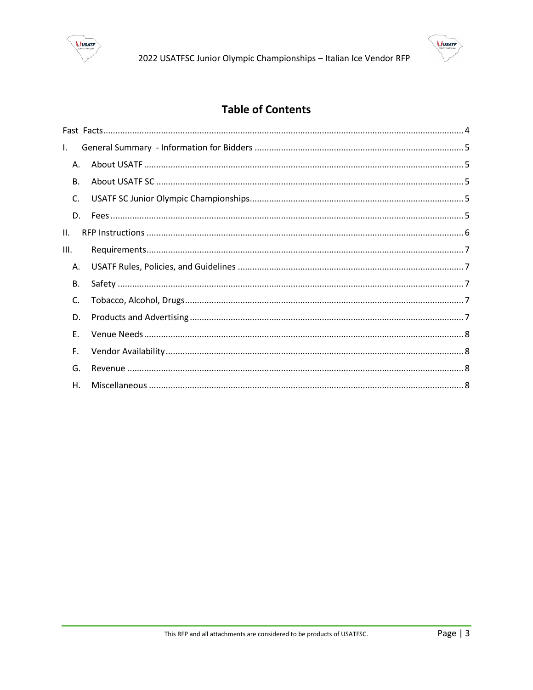



## **Table of Contents**

| I.        |  |  |
|-----------|--|--|
| Α.        |  |  |
| <b>B.</b> |  |  |
| C.        |  |  |
| D.        |  |  |
| Н.        |  |  |
| III.      |  |  |
| А.        |  |  |
| В.        |  |  |
| C.        |  |  |
| D.        |  |  |
| F.        |  |  |
| F.        |  |  |
| G.        |  |  |
| Η.        |  |  |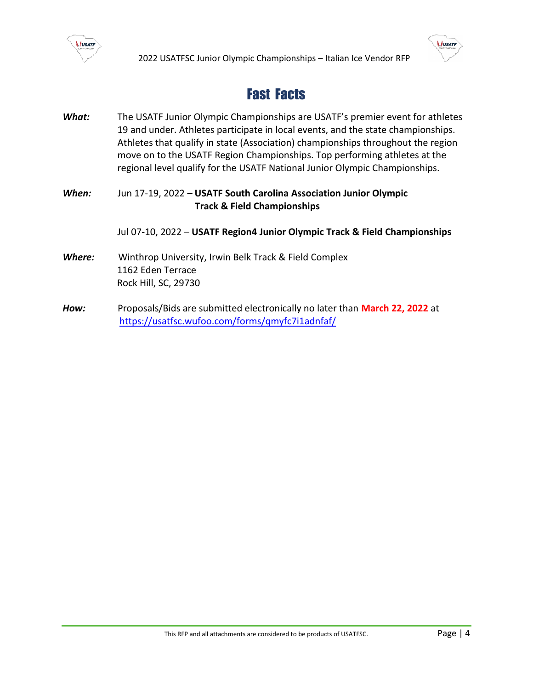

# Fast Facts

<span id="page-3-0"></span>*What:* The USATF Junior Olympic Championships are USATF's premier event for athletes 19 and under. Athletes participate in local events, and the state championships. Athletes that qualify in state (Association) championships throughout the region move on to the USATF Region Championships. Top performing athletes at the regional level qualify for the USATF National Junior Olympic Championships.

### *When:* Jun 17-19, 2022 – **USATF South Carolina Association Junior Olympic Track & Field Championships**

Jul 07-10, 2022 – **USATF Region4 Junior Olympic Track & Field Championships**

- *Where:* Winthrop University, Irwin Belk Track & Field Complex 1162 Eden Terrace Rock Hill, SC, 29730
- *How:* Proposals/Bids are submitted electronically no later than **March 22, 2022** at <https://usatfsc.wufoo.com/forms/qmyfc7i1adnfaf/>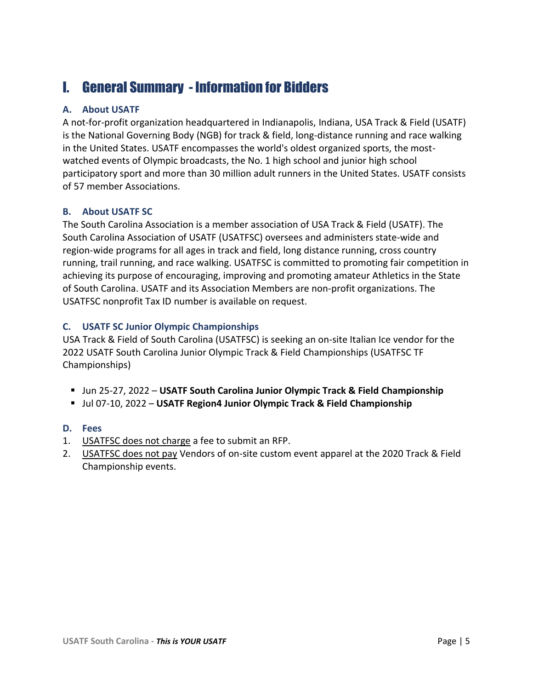# <span id="page-4-0"></span>I. General Summary - Information for Bidders

### <span id="page-4-1"></span>**A. About USATF**

A not-for-profit organization headquartered in Indianapolis, Indiana, USA Track & Field (USATF) is the National Governing Body (NGB) for track & field, long-distance running and race walking in the United States. USATF encompasses the world's oldest organized sports, the mostwatched events of Olympic broadcasts, the No. 1 high school and junior high school participatory sport and more than 30 million adult runners in the United States. USATF consists of 57 member Associations.

### <span id="page-4-2"></span>**B. About USATF SC**

The South Carolina Association is a member association of USA Track & Field (USATF). The South Carolina Association of USATF (USATFSC) oversees and administers state-wide and region-wide programs for all ages in track and field, long distance running, cross country running, trail running, and race walking. USATFSC is committed to promoting fair competition in achieving its purpose of encouraging, improving and promoting amateur Athletics in the State of South Carolina. USATF and its Association Members are non-profit organizations. The USATFSC nonprofit Tax ID number is available on request.

### <span id="page-4-3"></span>**C. USATF SC Junior Olympic Championships**

USA Track & Field of South Carolina (USATFSC) is seeking an on-site Italian Ice vendor for the 2022 USATF South Carolina Junior Olympic Track & Field Championships (USATFSC TF Championships)

- Jun 25-27, 2022 **USATF South Carolina Junior Olympic Track & Field Championship**
- Jul 07-10, 2022 **USATF Region4 Junior Olympic Track & Field Championship**

### <span id="page-4-4"></span>**D. Fees**

- 1. USATFSC does not charge a fee to submit an RFP.
- 2. USATFSC does not pay Vendors of on-site custom event apparel at the 2020 Track & Field Championship events.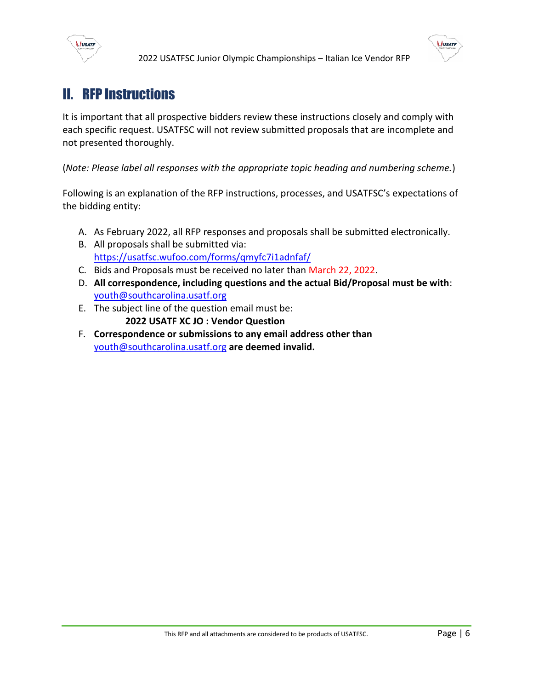



# <span id="page-5-0"></span>II. RFP Instructions

It is important that all prospective bidders review these instructions closely and comply with each specific request. USATFSC will not review submitted proposals that are incomplete and not presented thoroughly.

(*Note: Please label all responses with the appropriate topic heading and numbering scheme.*)

Following is an explanation of the RFP instructions, processes, and USATFSC's expectations of the bidding entity:

- A. As February 2022, all RFP responses and proposals shall be submitted electronically.
- B. All proposals shall be submitted via: <https://usatfsc.wufoo.com/forms/qmyfc7i1adnfaf/>
- C. Bids and Proposals must be received no later than March 22, 2022.
- D. **All correspondence, including questions and the actual Bid/Proposal must be with**: [youth@southcarolina.usatf.org](mailto:youth@southcarolina.usatf.org)
- E. The subject line of the question email must be: **2022 USATF XC JO : Vendor Question**
- F. **Correspondence or submissions to any email address other than** [youth@southcarolina.usatf.org](mailto:youth@southcarolina.usatf.org) **are deemed invalid.**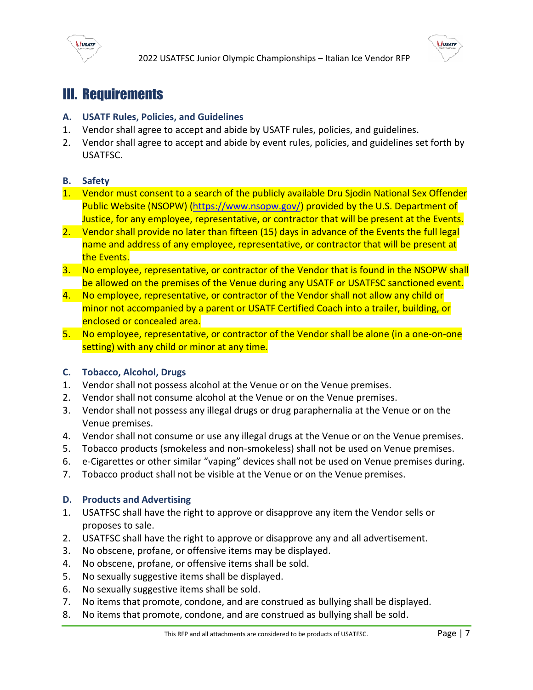



# <span id="page-6-0"></span>III. Requirements

#### <span id="page-6-1"></span>**A. USATF Rules, Policies, and Guidelines**

- 1. Vendor shall agree to accept and abide by USATF rules, policies, and guidelines.
- 2. Vendor shall agree to accept and abide by event rules, policies, and guidelines set forth by USATFSC.

#### <span id="page-6-2"></span>**B. Safety**

- 1. Vendor must consent to a search of the publicly available Dru Sjodin National Sex Offender Public Website (NSOPW) [\(https://www.nsopw.gov/\)](https://www.nsopw.gov/) provided by the U.S. Department of Justice, for any employee, representative, or contractor that will be present at the Events.
- 2. Vendor shall provide no later than fifteen (15) days in advance of the Events the full legal name and address of any employee, representative, or contractor that will be present at the Events.
- 3. No employee, representative, or contractor of the Vendor that is found in the NSOPW shall be allowed on the premises of the Venue during any USATF or USATFSC sanctioned event.
- 4. No employee, representative, or contractor of the Vendor shall not allow any child or minor not accompanied by a parent or USATF Certified Coach into a trailer, building, or enclosed or concealed area.
- 5. No employee, representative, or contractor of the Vendor shall be alone (in a one-on-one setting) with any child or minor at any time.

#### <span id="page-6-3"></span>**C. Tobacco, Alcohol, Drugs**

- 1. Vendor shall not possess alcohol at the Venue or on the Venue premises.
- 2. Vendor shall not consume alcohol at the Venue or on the Venue premises.
- 3. Vendor shall not possess any illegal drugs or drug paraphernalia at the Venue or on the Venue premises.
- 4. Vendor shall not consume or use any illegal drugs at the Venue or on the Venue premises.
- 5. Tobacco products (smokeless and non-smokeless) shall not be used on Venue premises.
- 6. e-Cigarettes or other similar "vaping" devices shall not be used on Venue premises during.
- 7. Tobacco product shall not be visible at the Venue or on the Venue premises.

#### <span id="page-6-4"></span>**D. Products and Advertising**

- 1. USATFSC shall have the right to approve or disapprove any item the Vendor sells or proposes to sale.
- 2. USATFSC shall have the right to approve or disapprove any and all advertisement.
- 3. No obscene, profane, or offensive items may be displayed.
- 4. No obscene, profane, or offensive items shall be sold.
- 5. No sexually suggestive items shall be displayed.
- 6. No sexually suggestive items shall be sold.
- 7. No items that promote, condone, and are construed as bullying shall be displayed.
- 8. No items that promote, condone, and are construed as bullying shall be sold.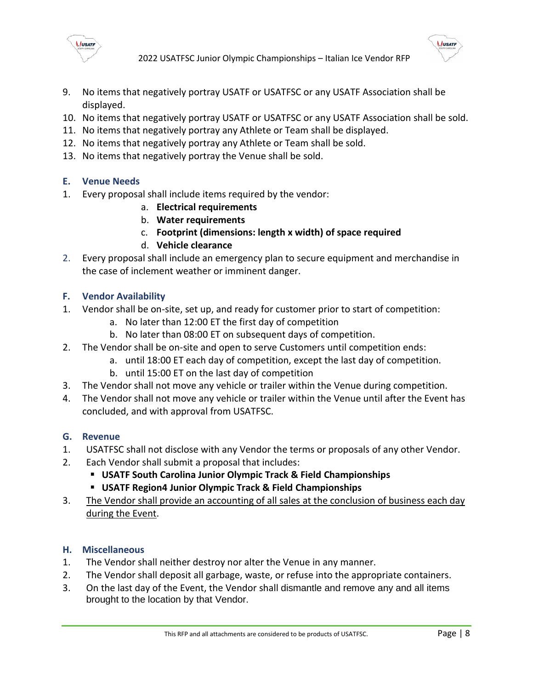

2022 USATFSC Junior Olympic Championships – Italian Ice Vendor RFP



- 9. No items that negatively portray USATF or USATFSC or any USATF Association shall be displayed.
- 10. No items that negatively portray USATF or USATFSC or any USATF Association shall be sold.
- 11. No items that negatively portray any Athlete or Team shall be displayed.
- 12. No items that negatively portray any Athlete or Team shall be sold.
- 13. No items that negatively portray the Venue shall be sold.

### <span id="page-7-0"></span>**E. Venue Needs**

- 1. Every proposal shall include items required by the vendor:
	- a. **Electrical requirements**
	- b. **Water requirements**
	- c. **Footprint (dimensions: length x width) of space required**
	- d. **Vehicle clearance**
- 2. Every proposal shall include an emergency plan to secure equipment and merchandise in the case of inclement weather or imminent danger.

### <span id="page-7-1"></span>**F. Vendor Availability**

- 1. Vendor shall be on-site, set up, and ready for customer prior to start of competition:
	- a. No later than 12:00 ET the first day of competition
	- b. No later than 08:00 ET on subsequent days of competition.
- 2. The Vendor shall be on-site and open to serve Customers until competition ends:
	- a. until 18:00 ET each day of competition, except the last day of competition.
	- b. until 15:00 ET on the last day of competition
- 3. The Vendor shall not move any vehicle or trailer within the Venue during competition.
- 4. The Vendor shall not move any vehicle or trailer within the Venue until after the Event has concluded, and with approval from USATFSC.

### <span id="page-7-2"></span>**G. Revenue**

- 1. USATFSC shall not disclose with any Vendor the terms or proposals of any other Vendor.
- 2. Each Vendor shall submit a proposal that includes:
	- **USATF South Carolina Junior Olympic Track & Field Championships**
	- **USATF Region4 Junior Olympic Track & Field Championships**
- 3. The Vendor shall provide an accounting of all sales at the conclusion of business each day during the Event.

### <span id="page-7-3"></span>**H. Miscellaneous**

- 1. The Vendor shall neither destroy nor alter the Venue in any manner.
- 2. The Vendor shall deposit all garbage, waste, or refuse into the appropriate containers.
- 3. On the last day of the Event, the Vendor shall dismantle and remove any and all items brought to the location by that Vendor.